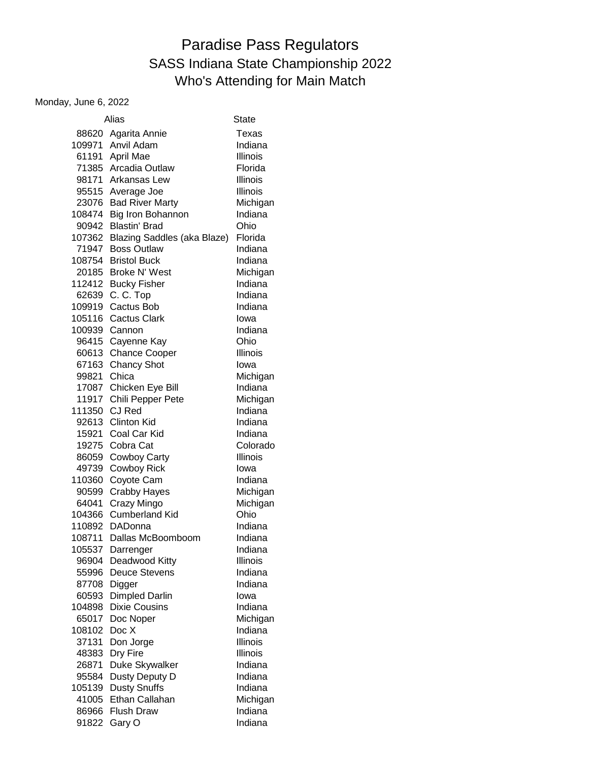## Paradise Pass Regulators SASS Indiana State Championship 2022 Who's Attending for Main Match

Monday, June 6, 2022

|                | Alias                              | State           |  |
|----------------|------------------------------------|-----------------|--|
| 88620          | Agarita Annie                      | Texas           |  |
| 109971         | Anvil Adam                         | Indiana         |  |
|                | 61191 April Mae                    | Illinois        |  |
|                | 71385 Arcadia Outlaw               | Florida         |  |
|                | 98171 Arkansas Lew                 | Illinois        |  |
|                | 95515 Average Joe                  | Illinois        |  |
|                | 23076 Bad River Marty              | Michigan        |  |
|                | 108474 Big Iron Bohannon           | Indiana         |  |
|                | 90942 Blastin' Brad                | Ohio            |  |
|                | 107362 Blazing Saddles (aka Blaze) | Florida         |  |
|                | 71947 Boss Outlaw                  | Indiana         |  |
|                | 108754 Bristol Buck                | Indiana         |  |
|                | 20185 Broke N' West                | Michigan        |  |
|                | 112412 Bucky Fisher                | Indiana         |  |
| 62639          | C. C. Top                          | Indiana         |  |
| 109919         | Cactus Bob                         | Indiana         |  |
|                | 105116 Cactus Clark                | Iowa            |  |
|                | 100939 Cannon                      | Indiana         |  |
| 96415          | Cayenne Kay                        | Ohio            |  |
| 60613          | <b>Chance Cooper</b>               | Illinois        |  |
| 67163          | <b>Chancy Shot</b>                 | Iowa            |  |
| 99821          | Chica                              | Michigan        |  |
|                | 17087 Chicken Eye Bill             | Indiana         |  |
| 11917          | Chili Pepper Pete                  | Michigan        |  |
|                | 111350 CJ Red                      | Indiana         |  |
|                | 92613 Clinton Kid                  | Indiana         |  |
|                | 15921 Coal Car Kid                 | Indiana         |  |
|                | 19275 Cobra Cat                    | Colorado        |  |
| 86059<br>49739 | <b>Cowboy Carty</b>                | Illinois        |  |
| 110360         | Cowboy Rick<br>Coyote Cam          | Iowa<br>Indiana |  |
| 90599          | <b>Crabby Hayes</b>                | Michigan        |  |
| 64041          | Crazy Mingo                        | Michigan        |  |
| 104366         | <b>Cumberland Kid</b>              | Ohio            |  |
| 110892         | DADonna                            | Indiana         |  |
| 108711         | Dallas McBoomboom                  | Indiana         |  |
| 105537         | Darrenger                          | Indiana         |  |
| 96904          | Deadwood Kitty                     | <b>Illinois</b> |  |
| 55996          | <b>Deuce Stevens</b>               | Indiana         |  |
| 87708          | Digger                             | Indiana         |  |
| 60593          | <b>Dimpled Darlin</b>              | lowa            |  |
| 104898         | <b>Dixie Cousins</b>               | Indiana         |  |
| 65017          | Doc Noper                          | Michigan        |  |
| 108102         | Doc X                              | Indiana         |  |
| 37131          | Don Jorge                          | <b>Illinois</b> |  |
| 48383          | Dry Fire                           | <b>Illinois</b> |  |
| 26871          | Duke Skywalker                     | Indiana         |  |
| 95584          | Dusty Deputy D                     | Indiana         |  |
| 105139         | <b>Dusty Snuffs</b>                | Indiana         |  |
| 41005          | Ethan Callahan                     | Michigan        |  |
| 86966          | <b>Flush Draw</b>                  | Indiana         |  |
| 91822          | Gary O                             | Indiana         |  |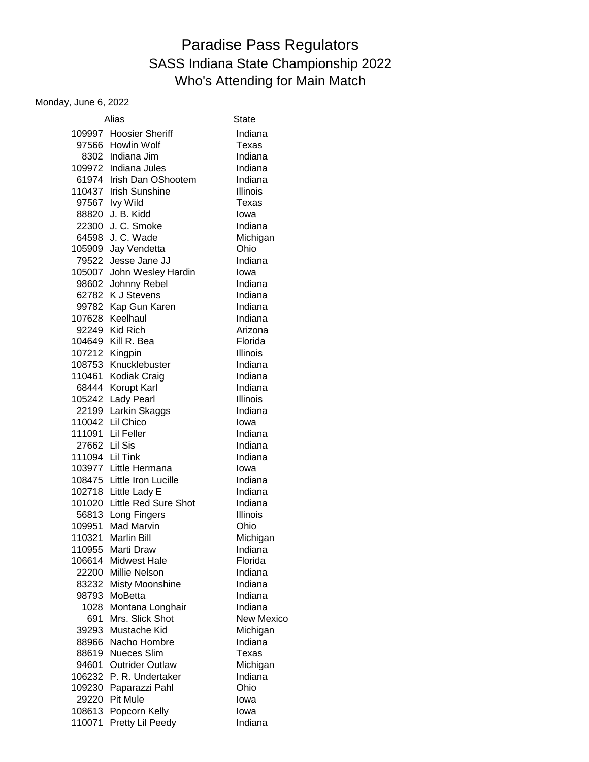## Paradise Pass Regulators SASS Indiana State Championship 2022 Who's Attending for Main Match

Monday, June 6, 2022

| Alias                            |                             | State             |
|----------------------------------|-----------------------------|-------------------|
|                                  | 109997 Hoosier Sheriff      | Indiana           |
|                                  | 97566 Howlin Wolf           | Texas             |
|                                  | 8302 Indiana Jim            | Indiana           |
|                                  | 109972 Indiana Jules        | Indiana           |
|                                  | 61974 Irish Dan OShootem    | Indiana           |
|                                  | 110437 Irish Sunshine       | Illinois          |
|                                  | 97567 Ivy Wild              | Texas             |
|                                  | 88820 J. B. Kidd            | Iowa              |
|                                  | 22300 J. C. Smoke           | Indiana           |
|                                  | 64598 J.C. Wade             | Michigan          |
|                                  | 105909 Jay Vendetta         | Ohio              |
|                                  | 79522 Jesse Jane JJ         | Indiana           |
|                                  | 105007 John Wesley Hardin   | Iowa              |
|                                  | 98602 Johnny Rebel          | Indiana           |
|                                  | 62782 K J Stevens           | Indiana           |
|                                  | 99782 Kap Gun Karen         | Indiana           |
|                                  | 107628 Keelhaul             | Indiana           |
|                                  | 92249 Kid Rich              | Arizona           |
|                                  | 104649 Kill R. Bea          | Florida           |
|                                  | 107212 Kingpin              | <b>Illinois</b>   |
|                                  |                             | Indiana           |
|                                  | 108753 Knucklebuster        | Indiana           |
|                                  | 110461 Kodiak Craig         | Indiana           |
| 105242                           | 68444 Korupt Karl           | Illinois          |
|                                  | <b>Lady Pearl</b>           |                   |
|                                  | 22199 Larkin Skaggs         | Indiana           |
|                                  | 110042 Lil Chico            | Iowa              |
|                                  | 111091 Lil Feller           | Indiana           |
| 27662 Lil Sis<br>111094 Lil Tink |                             | Indiana           |
|                                  | 103977 Little Hermana       | Indiana           |
|                                  |                             | Iowa              |
|                                  | 108475 Little Iron Lucille  | Indiana           |
|                                  | 102718 Little Lady E        | Indiana           |
|                                  | 101020 Little Red Sure Shot | Indiana           |
|                                  | 56813 Long Fingers          | Illinois          |
|                                  | 109951 Mad Marvin           | Ohio              |
|                                  | 110321 Marlin Bill          | Michigan          |
| 110955                           | Marti Draw                  | Indiana           |
|                                  | 106614 Midwest Hale         | Florida           |
|                                  | 22200 Millie Nelson         | Indiana           |
|                                  | 83232 Misty Moonshine       | Indiana           |
|                                  | 98793 MoBetta               | Indiana           |
|                                  | 1028 Montana Longhair       | Indiana           |
| 691                              | Mrs. Slick Shot             | <b>New Mexico</b> |
|                                  | 39293 Mustache Kid          | Michigan          |
|                                  | 88966 Nacho Hombre          | Indiana           |
|                                  | 88619 Nueces Slim           | Texas             |
| 94601                            | <b>Outrider Outlaw</b>      | Michigan          |
|                                  | 106232 P.R. Undertaker      | Indiana           |
| 109230                           | Paparazzi Pahl              | Ohio              |
| 29220                            | <b>Pit Mule</b>             | lowa              |
| 108613                           | Popcorn Kelly               | Iowa              |
| 110071                           | Pretty Lil Peedy            | Indiana           |